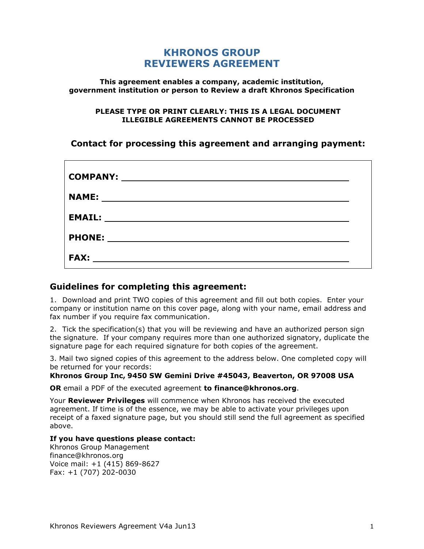# **KHRONOS GROUP REVIEWERS AGREEMENT**

#### **This agreement enables a company, academic institution, government institution or person to Review a draft Khronos Specification**

#### **PLEASE TYPE OR PRINT CLEARLY: THIS IS A LEGAL DOCUMENT ILLEGIBLE AGREEMENTS CANNOT BE PROCESSED**

# **Contact for processing this agreement and arranging payment:**

| <b>COMPANY:</b> |  |
|-----------------|--|
| <b>NAME:</b>    |  |
| <b>EMAIL:</b>   |  |
| <b>PHONE:</b>   |  |
| <b>FAX:</b>     |  |

### **Guidelines for completing this agreement:**

1. Download and print TWO copies of this agreement and fill out both copies. Enter your company or institution name on this cover page, along with your name, email address and fax number if you require fax communication.

2. Tick the specification(s) that you will be reviewing and have an authorized person sign the signature. If your company requires more than one authorized signatory, duplicate the signature page for each required signature for both copies of the agreement.

3. Mail two signed copies of this agreement to the address below. One completed copy will be returned for your records:

#### **Khronos Group Inc, 9450 SW Gemini Drive #45043, Beaverton, OR 97008 USA**

**OR** email a PDF of the executed agreement **to finance@khronos.org**.

Your **Reviewer Privileges** will commence when Khronos has received the executed agreement. If time is of the essence, we may be able to activate your privileges upon receipt of a faxed signature page, but you should still send the full agreement as specified above.

#### **If you have questions please contact:**

Khronos Group Management finance@khronos.org Voice mail: +1 (415) 869-8627 Fax: +1 (707) 202-0030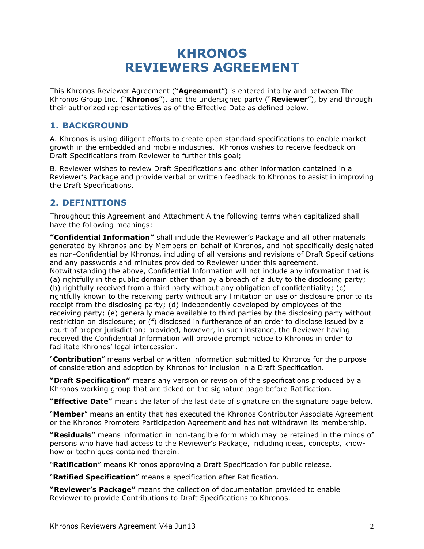# **KHRONOS REVIEWERS AGREEMENT**

This Khronos Reviewer Agreement ("**Agreement**") is entered into by and between The Khronos Group Inc. ("**Khronos**"), and the undersigned party ("**Reviewer**"), by and through their authorized representatives as of the Effective Date as defined below.

# **1. BACKGROUND**

A. Khronos is using diligent efforts to create open standard specifications to enable market growth in the embedded and mobile industries. Khronos wishes to receive feedback on Draft Specifications from Reviewer to further this goal;

B. Reviewer wishes to review Draft Specifications and other information contained in a Reviewer's Package and provide verbal or written feedback to Khronos to assist in improving the Draft Specifications.

# **2. DEFINITIONS**

Throughout this Agreement and Attachment A the following terms when capitalized shall have the following meanings:

**"Confidential Information"** shall include the Reviewer's Package and all other materials generated by Khronos and by Members on behalf of Khronos, and not specifically designated as non-Confidential by Khronos, including of all versions and revisions of Draft Specifications and any passwords and minutes provided to Reviewer under this agreement. Notwithstanding the above, Confidential Information will not include any information that is (a) rightfully in the public domain other than by a breach of a duty to the disclosing party; (b) rightfully received from a third party without any obligation of confidentiality; (c) rightfully known to the receiving party without any limitation on use or disclosure prior to its receipt from the disclosing party; (d) independently developed by employees of the receiving party; (e) generally made available to third parties by the disclosing party without restriction on disclosure; or (f) disclosed in furtherance of an order to disclose issued by a court of proper jurisdiction; provided, however, in such instance, the Reviewer having received the Confidential Information will provide prompt notice to Khronos in order to facilitate Khronos' legal intercession.

"**Contribution**" means verbal or written information submitted to Khronos for the purpose of consideration and adoption by Khronos for inclusion in a Draft Specification.

**"Draft Specification"** means any version or revision of the specifications produced by a Khronos working group that are ticked on the signature page before Ratification.

**"Effective Date"** means the later of the last date of signature on the signature page below.

"**Member**" means an entity that has executed the Khronos Contributor Associate Agreement or the Khronos Promoters Participation Agreement and has not withdrawn its membership.

**"Residuals"** means information in non-tangible form which may be retained in the minds of persons who have had access to the Reviewer's Package, including ideas, concepts, knowhow or techniques contained therein.

"**Ratification**" means Khronos approving a Draft Specification for public release.

"**Ratified Specification**" means a specification after Ratification.

**"Reviewer's Package"** means the collection of documentation provided to enable Reviewer to provide Contributions to Draft Specifications to Khronos.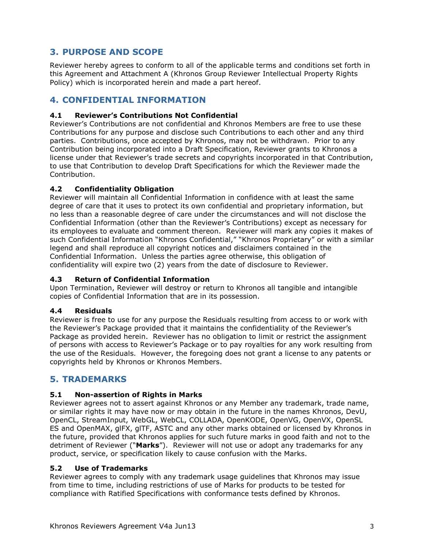# **3. PURPOSE AND SCOPE**

Reviewer hereby agrees to conform to all of the applicable terms and conditions set forth in this Agreement and Attachment A (Khronos Group Reviewer Intellectual Property Rights Policy) which is incorporated herein and made a part hereof.

# **4. CONFIDENTIAL INFORMATION**

#### **4.1 Reviewer's Contributions Not Confidential**

Reviewer's Contributions are not confidential and Khronos Members are free to use these Contributions for any purpose and disclose such Contributions to each other and any third parties. Contributions, once accepted by Khronos, may not be withdrawn. Prior to any Contribution being incorporated into a Draft Specification, Reviewer grants to Khronos a license under that Reviewer's trade secrets and copyrights incorporated in that Contribution, to use that Contribution to develop Draft Specifications for which the Reviewer made the Contribution.

#### **4.2 Confidentiality Obligation**

Reviewer will maintain all Confidential Information in confidence with at least the same degree of care that it uses to protect its own confidential and proprietary information, but no less than a reasonable degree of care under the circumstances and will not disclose the Confidential Information (other than the Reviewer's Contributions) except as necessary for its employees to evaluate and comment thereon. Reviewer will mark any copies it makes of such Confidential Information "Khronos Confidential," "Khronos Proprietary" or with a similar legend and shall reproduce all copyright notices and disclaimers contained in the Confidential Information. Unless the parties agree otherwise, this obligation of confidentiality will expire two (2) years from the date of disclosure to Reviewer.

#### **4.3 Return of Confidential Information**

Upon Termination, Reviewer will destroy or return to Khronos all tangible and intangible copies of Confidential Information that are in its possession.

#### **4.4 Residuals**

Reviewer is free to use for any purpose the Residuals resulting from access to or work with the Reviewer's Package provided that it maintains the confidentiality of the Reviewer's Package as provided herein. Reviewer has no obligation to limit or restrict the assignment of persons with access to Reviewer's Package or to pay royalties for any work resulting from the use of the Residuals. However, the foregoing does not grant a license to any patents or copyrights held by Khronos or Khronos Members.

# **5. TRADEMARKS**

#### **5.1 Non-assertion of Rights in Marks**

Reviewer agrees not to assert against Khronos or any Member any trademark, trade name, or similar rights it may have now or may obtain in the future in the names Khronos, DevU, OpenCL, StreamInput, WebGL, WebCL, COLLADA, OpenKODE, OpenVG, OpenVX, OpenSL ES and OpenMAX, glFX, glTF, ASTC and any other marks obtained or licensed by Khronos in the future, provided that Khronos applies for such future marks in good faith and not to the detriment of Reviewer ("**Marks**"). Reviewer will not use or adopt any trademarks for any product, service, or specification likely to cause confusion with the Marks.

#### **5.2 Use of Trademarks**

Reviewer agrees to comply with any trademark usage guidelines that Khronos may issue from time to time, including restrictions of use of Marks for products to be tested for compliance with Ratified Specifications with conformance tests defined by Khronos.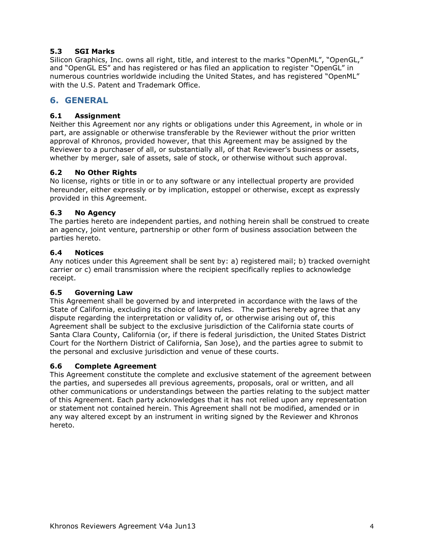#### **5.3 SGI Marks**

Silicon Graphics, Inc. owns all right, title, and interest to the marks "OpenML", "OpenGL," and "OpenGL ES" and has registered or has filed an application to register "OpenGL" in numerous countries worldwide including the United States, and has registered "OpenML" with the U.S. Patent and Trademark Office.

# **6. GENERAL**

#### **6.1 Assignment**

Neither this Agreement nor any rights or obligations under this Agreement, in whole or in part, are assignable or otherwise transferable by the Reviewer without the prior written approval of Khronos, provided however, that this Agreement may be assigned by the Reviewer to a purchaser of all, or substantially all, of that Reviewer's business or assets, whether by merger, sale of assets, sale of stock, or otherwise without such approval.

#### **6.2 No Other Rights**

No license, rights or title in or to any software or any intellectual property are provided hereunder, either expressly or by implication, estoppel or otherwise, except as expressly provided in this Agreement.

#### **6.3 No Agency**

The parties hereto are independent parties, and nothing herein shall be construed to create an agency, joint venture, partnership or other form of business association between the parties hereto.

#### **6.4 Notices**

Any notices under this Agreement shall be sent by: a) registered mail; b) tracked overnight carrier or c) email transmission where the recipient specifically replies to acknowledge receipt.

#### **6.5 Governing Law**

This Agreement shall be governed by and interpreted in accordance with the laws of the State of California, excluding its choice of laws rules. The parties hereby agree that any dispute regarding the interpretation or validity of, or otherwise arising out of, this Agreement shall be subject to the exclusive jurisdiction of the California state courts of Santa Clara County, California (or, if there is federal jurisdiction, the United States District Court for the Northern District of California, San Jose), and the parties agree to submit to the personal and exclusive jurisdiction and venue of these courts.

#### **6.6 Complete Agreement**

This Agreement constitute the complete and exclusive statement of the agreement between the parties, and supersedes all previous agreements, proposals, oral or written, and all other communications or understandings between the parties relating to the subject matter of this Agreement. Each party acknowledges that it has not relied upon any representation or statement not contained herein. This Agreement shall not be modified, amended or in any way altered except by an instrument in writing signed by the Reviewer and Khronos hereto.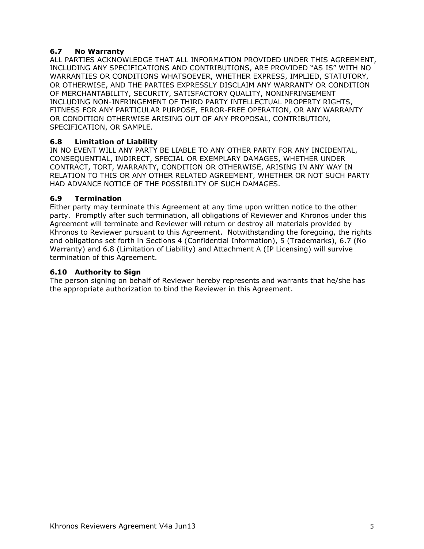#### **6.7 No Warranty**

ALL PARTIES ACKNOWLEDGE THAT ALL INFORMATION PROVIDED UNDER THIS AGREEMENT, INCLUDING ANY SPECIFICATIONS AND CONTRIBUTIONS, ARE PROVIDED "AS IS" WITH NO WARRANTIES OR CONDITIONS WHATSOEVER, WHETHER EXPRESS, IMPLIED, STATUTORY, OR OTHERWISE, AND THE PARTIES EXPRESSLY DISCLAIM ANY WARRANTY OR CONDITION OF MERCHANTABILITY, SECURITY, SATISFACTORY QUALITY, NONINFRINGEMENT INCLUDING NON-INFRINGEMENT OF THIRD PARTY INTELLECTUAL PROPERTY RIGHTS, FITNESS FOR ANY PARTICULAR PURPOSE, ERROR-FREE OPERATION, OR ANY WARRANTY OR CONDITION OTHERWISE ARISING OUT OF ANY PROPOSAL, CONTRIBUTION, SPECIFICATION, OR SAMPLE.

#### **6.8 Limitation of Liability**

IN NO EVENT WILL ANY PARTY BE LIABLE TO ANY OTHER PARTY FOR ANY INCIDENTAL, CONSEQUENTIAL, INDIRECT, SPECIAL OR EXEMPLARY DAMAGES, WHETHER UNDER CONTRACT, TORT, WARRANTY, CONDITION OR OTHERWISE, ARISING IN ANY WAY IN RELATION TO THIS OR ANY OTHER RELATED AGREEMENT, WHETHER OR NOT SUCH PARTY HAD ADVANCE NOTICE OF THE POSSIBILITY OF SUCH DAMAGES.

#### **6.9 Termination**

Either party may terminate this Agreement at any time upon written notice to the other party. Promptly after such termination, all obligations of Reviewer and Khronos under this Agreement will terminate and Reviewer will return or destroy all materials provided by Khronos to Reviewer pursuant to this Agreement. Notwithstanding the foregoing, the rights and obligations set forth in Sections 4 (Confidential Information), 5 (Trademarks), 6.7 (No Warranty) and 6.8 (Limitation of Liability) and Attachment A (IP Licensing) will survive termination of this Agreement.

#### **6.10 Authority to Sign**

The person signing on behalf of Reviewer hereby represents and warrants that he/she has the appropriate authorization to bind the Reviewer in this Agreement.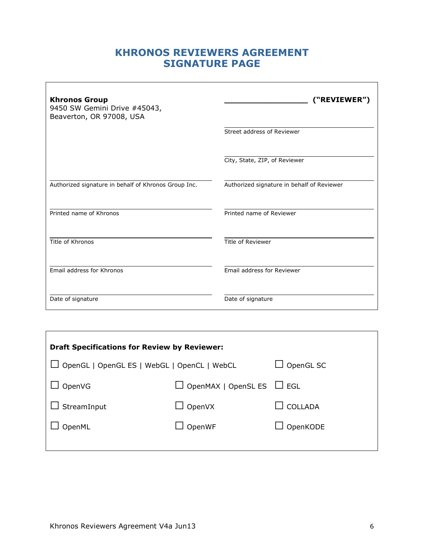# **KHRONOS REVIEWERS AGREEMENT SIGNATURE PAGE**

| <b>Khronos Group</b><br>9450 SW Gemini Drive #45043,<br>Beaverton, OR 97008, USA | ("REVIEWER")                               |
|----------------------------------------------------------------------------------|--------------------------------------------|
|                                                                                  | Street address of Reviewer                 |
|                                                                                  | City, State, ZIP, of Reviewer              |
| Authorized signature in behalf of Khronos Group Inc.                             | Authorized signature in behalf of Reviewer |
| Printed name of Khronos                                                          | Printed name of Reviewer                   |
| Title of Khronos                                                                 | Title of Reviewer                          |
| Email address for Khronos                                                        | Email address for Reviewer                 |
| Date of signature                                                                | Date of signature                          |

| <b>Draft Specifications for Review by Reviewer:</b> |                                       |                |  |  |  |
|-----------------------------------------------------|---------------------------------------|----------------|--|--|--|
| OpenGL   OpenGL ES   WebGL   OpenCL   WebCL         | OpenGL SC                             |                |  |  |  |
| OpenVG                                              | $\Box$ OpenMAX   OpenSL ES $\Box$ EGL |                |  |  |  |
| StreamInput                                         | OpenVX                                | <b>COLLADA</b> |  |  |  |
| OpenML                                              | OpenWF                                | OpenKODE       |  |  |  |
|                                                     |                                       |                |  |  |  |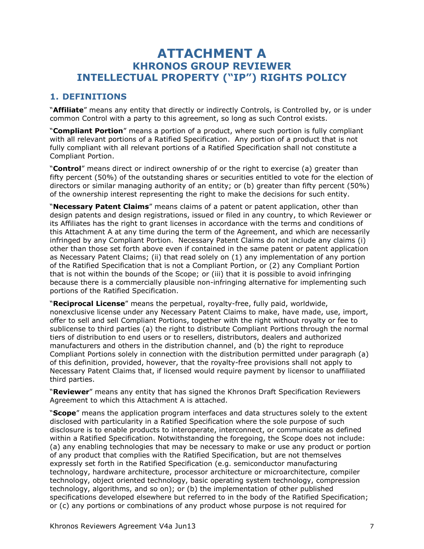# **ATTACHMENT A KHRONOS GROUP REVIEWER INTELLECTUAL PROPERTY ("IP") RIGHTS POLICY**

# **1. DEFINITIONS**

"**Affiliate**" means any entity that directly or indirectly Controls, is Controlled by, or is under common Control with a party to this agreement, so long as such Control exists.

"**Compliant Portion**" means a portion of a product, where such portion is fully compliant with all relevant portions of a Ratified Specification. Any portion of a product that is not fully compliant with all relevant portions of a Ratified Specification shall not constitute a Compliant Portion.

"**Control**" means direct or indirect ownership of or the right to exercise (a) greater than fifty percent (50%) of the outstanding shares or securities entitled to vote for the election of directors or similar managing authority of an entity; or (b) greater than fifty percent (50%) of the ownership interest representing the right to make the decisions for such entity.

"**Necessary Patent Claims**" means claims of a patent or patent application, other than design patents and design registrations, issued or filed in any country, to which Reviewer or its Affiliates has the right to grant licenses in accordance with the terms and conditions of this Attachment A at any time during the term of the Agreement, and which are necessarily infringed by any Compliant Portion. Necessary Patent Claims do not include any claims (i) other than those set forth above even if contained in the same patent or patent application as Necessary Patent Claims; (ii) that read solely on (1) any implementation of any portion of the Ratified Specification that is not a Compliant Portion, or (2) any Compliant Portion that is not within the bounds of the Scope; or (iii) that it is possible to avoid infringing because there is a commercially plausible non-infringing alternative for implementing such portions of the Ratified Specification.

"**Reciprocal License**" means the perpetual, royalty-free, fully paid, worldwide, nonexclusive license under any Necessary Patent Claims to make, have made, use, import, offer to sell and sell Compliant Portions, together with the right without royalty or fee to sublicense to third parties (a) the right to distribute Compliant Portions through the normal tiers of distribution to end users or to resellers, distributors, dealers and authorized manufacturers and others in the distribution channel, and (b) the right to reproduce Compliant Portions solely in connection with the distribution permitted under paragraph (a) of this definition, provided, however, that the royalty-free provisions shall not apply to Necessary Patent Claims that, if licensed would require payment by licensor to unaffiliated third parties.

"**Reviewer**" means any entity that has signed the Khronos Draft Specification Reviewers Agreement to which this Attachment A is attached.

"**Scope**" means the application program interfaces and data structures solely to the extent disclosed with particularity in a Ratified Specification where the sole purpose of such disclosure is to enable products to interoperate, interconnect, or communicate as defined within a Ratified Specification. Notwithstanding the foregoing, the Scope does not include: (a) any enabling technologies that may be necessary to make or use any product or portion of any product that complies with the Ratified Specification, but are not themselves expressly set forth in the Ratified Specification (e.g. semiconductor manufacturing technology, hardware architecture, processor architecture or microarchitecture, compiler technology, object oriented technology, basic operating system technology, compression technology, algorithms, and so on); or (b) the implementation of other published specifications developed elsewhere but referred to in the body of the Ratified Specification; or (c) any portions or combinations of any product whose purpose is not required for